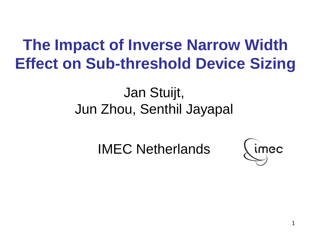## **The Impact of Inverse Narrow Width Effect on Sub-threshold Device Sizing**

#### Jan Stuijt, Jun Zhou, Senthil Jayapal

IMEC Netherlands

imec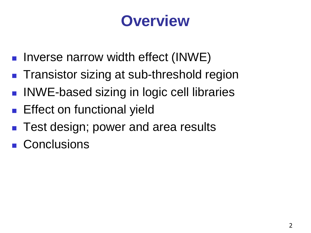#### **Overview**

- **Inverse narrow width effect (INWE)**
- **Transistor sizing at sub-threshold region**
- INWE-based sizing in logic cell libraries
- **Effect on functional yield**
- Test design; power and area results
- Conclusions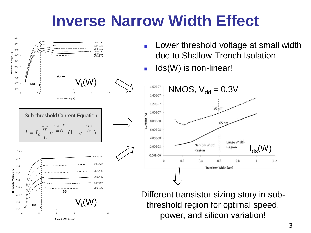#### **Inverse Narrow Width Effect**



- Lower threshold voltage at small width due to Shallow Trench Isolation
- Ids(W) is non-linear!



 $65$ nm **Different transistor sizing story in sub**threshold region for optimal speed,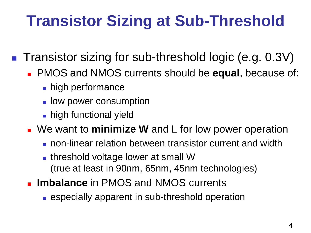## **Transistor Sizing at Sub-Threshold**

■ Transistor sizing for sub-threshold logic (e.g. 0.3V)

- PMOS and NMOS currents should be **equal**, because of:
	- high performance
	- **L** low power consumption
	- **high functional yield**
- We want to **minimize W** and L for low power operation
	- **non-linear relation between transistor current and width**
	- **threshold voltage lower at small W** (true at least in 90nm, 65nm, 45nm technologies)
- **Imbalance** in PMOS and NMOS currents
	- **EXEPTERIM** Expecially apparent in sub-threshold operation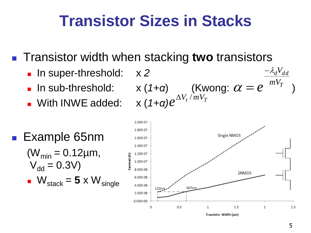## **Transistor Sizes in Stacks**

■ Transistor width when stacking **two** transistors

- **In super-threshold:** x 2
- 
- **No. With INWE added:**

**I** In sub-threshold:  $x(1+a)$  (Kwong:  $\alpha = e^{-mV_T}$ )  $-\lambda_d V_{dd}$  $e^{\Delta V_t/mV_T}$ 

**Example 65nm**  $(W_{min} = 0.12 \mu m,$  $V_{dd} = 0.3V$  $W_{\text{stack}} = 5 \times W_{\text{single}}$ 

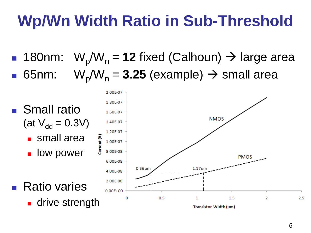## **Wp/Wn Width Ratio in Sub-Threshold**

**180nm:**  $W_p/W_n = 12$  fixed (Calhoun)  $\rightarrow$  large area **65nm:**  $W_p/W_n = 3.25$  (example)  $\rightarrow$  small area

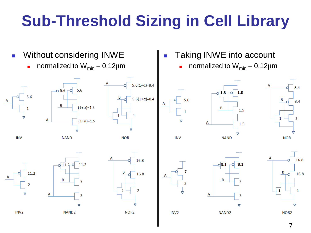# **Sub-Threshold Sizing in Cell Library**

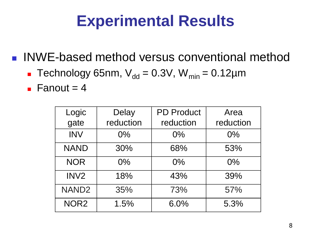## **Experimental Results**

■ INWE-based method versus conventional method

- **Technology 65nm,**  $V_{dd} = 0.3V$ **,**  $W_{min} = 0.12 \mu m$
- $\blacksquare$  Fanout = 4

| Logic             | <b>Delay</b> | <b>PD Product</b> | Area      |
|-------------------|--------------|-------------------|-----------|
| gate              | reduction    | reduction         | reduction |
| <b>INV</b>        | $0\%$        | $0\%$             | $0\%$     |
| <b>NAND</b>       | 30%          | 68%               | 53%       |
| <b>NOR</b>        | $0\%$        | $0\%$             | $0\%$     |
| INV <sub>2</sub>  | 18%          | 43%               | 39%       |
| NAND <sub>2</sub> | 35%          | 73%               | 57%       |
| NOR <sub>2</sub>  | 1.5%         | 6.0%              | 5.3%      |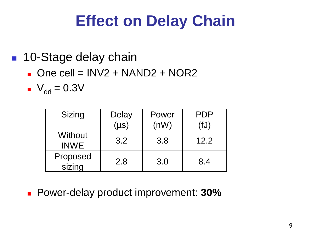## **Effect on Delay Chain**

#### ■ 10-Stage delay chain

 $\blacksquare$  One cell = INV2 + NAND2 + NOR2

 $V_{dd} = 0.3V$ 

| Sizing                 | Delay     | Power | PDP  |
|------------------------|-----------|-------|------|
|                        | $(\mu s)$ | (nW)  | ا U⊺ |
| Without<br><b>INWE</b> | 3.2       | 3.8   | 12.2 |
| Proposed<br>sizing     | 2.8       | 3.0   | 8.4  |

Power-delay product improvement: **30%**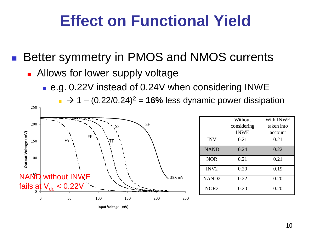## **Effect on Functional Yield**

Better symmetry in PMOS and NMOS currents

- **Allows for lower supply voltage** 
	- e.g. 0.22V instead of 0.24V when considering INWE

 $\rightarrow$  1 – (0.22/0.24)<sup>2</sup> = **16%** less dynamic power dissipation



With INWE taken into account

**Without** considering INWE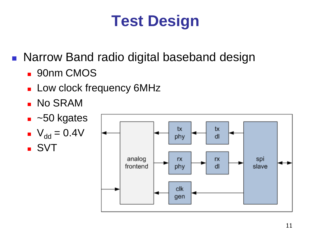## **Test Design**

**Narrow Band radio digital baseband design** 

- **90nm CMOS**
- **Low clock frequency 6MHz**
- **No SRAM**
- $\overline{\phantom{0}}$  ~50 kgates

$$
V_{dd} = 0.4V
$$
  
SVT

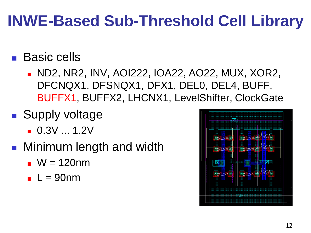## **INWE-Based Sub-Threshold Cell Library**

#### **Basic cells**

- ND2, NR2, INV, AOI222, IOA22, AO22, MUX, XOR2, DFCNQX1, DFSNQX1, DFX1, DEL0, DEL4, BUFF, BUFFX1, BUFFX2, LHCNX1, LevelShifter, ClockGate
- **Supply voltage** 
	- $-0.3V...1.2V$
- **Ninimum length and width** 
	- $W = 120$ nm
	- $L = 90$ nm

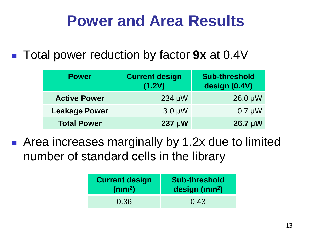## **Power and Area Results**

#### Total power reduction by factor **9x** at 0.4V

| <b>Power</b>         | <b>Current design</b><br>(1.2V) | <b>Sub-threshold</b><br>design (0.4V) |
|----------------------|---------------------------------|---------------------------------------|
| <b>Active Power</b>  | $234 \mu W$                     | $26.0 \mu W$                          |
| <b>Leakage Power</b> | $3.0 \mu W$                     | $0.7 \mu W$                           |
| <b>Total Power</b>   | $237 \mu W$                     | $26.7 \mu W$                          |

■ Area increases marginally by 1.2x due to limited number of standard cells in the library

| <b>Current design</b> | <b>Sub-threshold</b>      |  |
|-----------------------|---------------------------|--|
| $\rm (mm^2)$          | design (mm <sup>2</sup> ) |  |
| 0.36                  | 0.43                      |  |